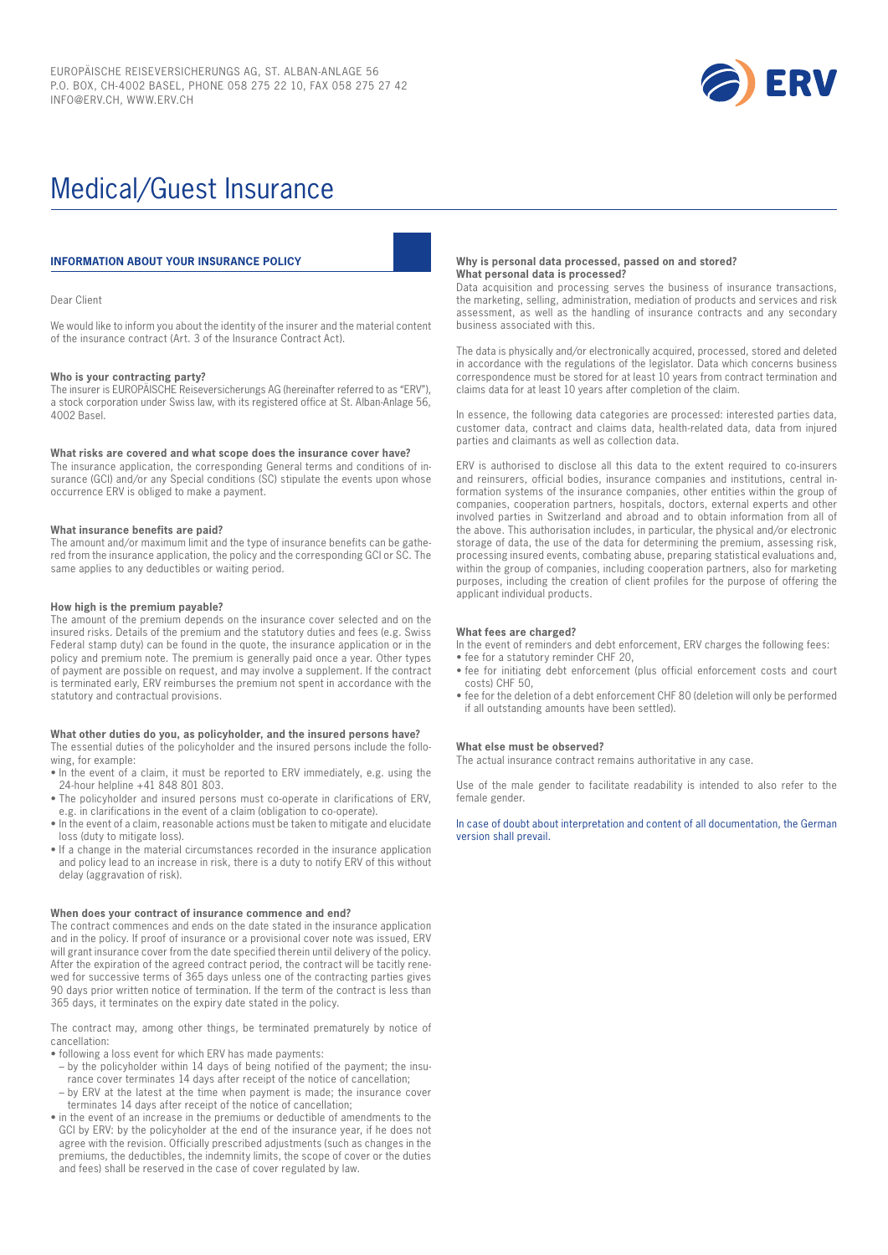

# Medical/Guest Insurance

# **INFORMATION ABOUT YOUR INSURANCE POLICY**

#### Dear Client

We would like to inform you about the identity of the insurer and the material content of the insurance contract (Art. 3 of the Insurance Contract Act).

#### **Who is your contracting party?**

The insurer is EUROPÄISCHE Reiseversicherungs AG (hereinafter referred to as "ERV"), a stock corporation under Swiss law, with its registered office at St. Alban-Anlage 56, 4002 Basel.

#### **What risks are covered and what scope does the insurance cover have?**

The insurance application, the corresponding General terms and conditions of insurance (GCI) and/or any Special conditions (SC) stipulate the events upon whose occurrence ERV is obliged to make a payment.

#### **What insurance benefits are paid?**

The amount and/or maximum limit and the type of insurance benefits can be gathered from the insurance application, the policy and the corresponding GCI or SC. The same applies to any deductibles or waiting period.

#### **How high is the premium payable?**

The amount of the premium depends on the insurance cover selected and on the insured risks. Details of the premium and the statutory duties and fees (e.g. Swiss Federal stamp duty) can be found in the quote, the insurance application or in the policy and premium note. The premium is generally paid once a year. Other types of payment are possible on request, and may involve a supplement. If the contract is terminated early, ERV reimburses the premium not spent in accordance with the statutory and contractual provisions.

#### **What other duties do you, as policyholder, and the insured persons have?** The essential duties of the policyholder and the insured persons include the following, for example:

- In the event of a claim, it must be reported to ERV immediately, e.g. using the 24-hour helpline +41 848 801 803.
- The policyholder and insured persons must co-operate in clarifications of ERV, e.g. in clarifications in the event of a claim (obligation to co-operate).
- In the event of a claim, reasonable actions must be taken to mitigate and elucidate loss (duty to mitigate loss).
- If a change in the material circumstances recorded in the insurance application and policy lead to an increase in risk, there is a duty to notify ERV of this without delay (aggravation of risk).

#### **When does your contract of insurance commence and end?**

The contract commences and ends on the date stated in the insurance application and in the policy. If proof of insurance or a provisional cover note was issued, ERV will grant insurance cover from the date specified therein until delivery of the policy. After the expiration of the agreed contract period, the contract will be tacitly renewed for successive terms of 365 days unless one of the contracting parties gives 90 days prior written notice of termination. If the term of the contract is less than 365 days, it terminates on the expiry date stated in the policy.

The contract may, among other things, be terminated prematurely by notice of cancellation:

• following a loss event for which ERV has made payments:

- by the policyholder within 14 days of being notified of the payment; the insu-
- rance cover terminates 14 days after receipt of the notice of cancellation; – by ERV at the latest at the time when payment is made; the insurance cover
- terminates 14 days after receipt of the notice of cancellation;
- in the event of an increase in the premiums or deductible of amendments to the GCI by ERV: by the policyholder at the end of the insurance year, if he does not agree with the revision. Officially prescribed adjustments (such as changes in the premiums, the deductibles, the indemnity limits, the scope of cover or the duties and fees) shall be reserved in the case of cover regulated by law.

#### **Why is personal data processed, passed on and stored? What personal data is processed?**

Data acquisition and processing serves the business of insurance transactions, the marketing, selling, administration, mediation of products and services and risk assessment, as well as the handling of insurance contracts and any secondary business associated with this.

The data is physically and/or electronically acquired, processed, stored and deleted in accordance with the regulations of the legislator. Data which concerns business correspondence must be stored for at least 10 years from contract termination and claims data for at least 10 years after completion of the claim.

In essence, the following data categories are processed: interested parties data, customer data, contract and claims data, health-related data, data from injured parties and claimants as well as collection data.

ERV is authorised to disclose all this data to the extent required to co-insurers and reinsurers, official bodies, insurance companies and institutions, central information systems of the insurance companies, other entities within the group of companies, cooperation partners, hospitals, doctors, external experts and other involved parties in Switzerland and abroad and to obtain information from all of the above. This authorisation includes, in particular, the physical and/or electronic storage of data, the use of the data for determining the premium, assessing risk, processing insured events, combating abuse, preparing statistical evaluations and, within the group of companies, including cooperation partners, also for marketing purposes, including the creation of client profiles for the purpose of offering the applicant individual products.

#### **What fees are charged?**

In the event of reminders and debt enforcement, ERV charges the following fees:

- fee for a statutory reminder CHF 20,
- fee for initiating debt enforcement (plus official enforcement costs and court costs) CHF 50,
- fee for the deletion of a debt enforcement CHF 80 (deletion will only be performed if all outstanding amounts have been settled).

#### **What else must be observed?**

The actual insurance contract remains authoritative in any case.

Use of the male gender to facilitate readability is intended to also refer to the female gender.

In case of doubt about interpretation and content of all documentation, the German version shall prevail.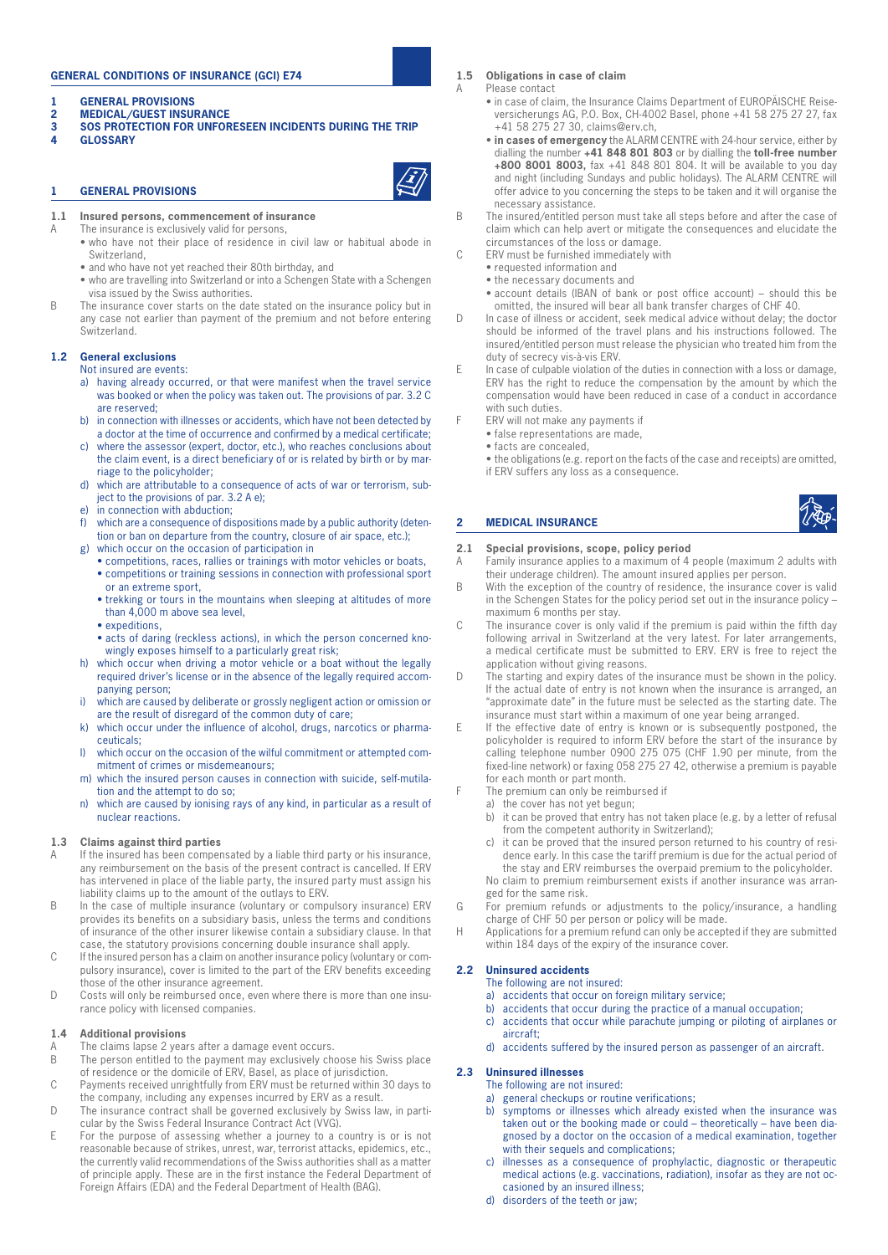# **GENERAL CONDITIONS OF INSURANCE (GCI) E74**

- **1 GENERAL PROVISIONS**
- **2 MEDICAL/GUEST INSURANCE**<br>**3** SOS PROTECTION FOR UNFOR
- **3 SOS PROTECTION FOR UNFORESEEN INCIDENTS DURING THE TRIP**
- **4 GLOSSARY**

# **1 GENERAL PROVISIONS**



- **1.1 Insured persons, commencement of insurance**
- A The insurance is exclusively valid for persons,
	- who have not their place of residence in civil law or habitual abode in Switzerland, • and who have not yet reached their 80th birthday, and
	-
	- who are travelling into Switzerland or into a Schengen State with a Schengen visa issued by the Swiss authorities.
- B The insurance cover starts on the date stated on the insurance policy but in any case not earlier than payment of the premium and not before entering Switzerland.

# **1.2 General exclusions**

Not insured are events:

- a) having already occurred, or that were manifest when the travel service was booked or when the policy was taken out. The provisions of par. 3.2 C are reserved;
- b) in connection with illnesses or accidents, which have not been detected by a doctor at the time of occurrence and confirmed by a medical certificate;
- c) where the assessor (expert, doctor, etc.), who reaches conclusions about the claim event, is a direct beneficiary of or is related by birth or by marriage to the policyholder;
- d) which are attributable to a consequence of acts of war or terrorism, subject to the provisions of par. 3.2 A e);
- e) in connection with abduction;
- f) which are a consequence of dispositions made by a public authority (detention or ban on departure from the country, closure of air space, etc.); g) which occur on the occasion of participation in
- competitions, races, rallies or trainings with motor vehicles or boats,
	- competitions or training sessions in connection with professional sport or an extreme sport,
	- trekking or tours in the mountains when sleeping at altitudes of more than 4,000 m above sea level,
- expeditions, • acts of daring (reckless actions), in which the person concerned kno-
- wingly exposes himself to a particularly great risk; h) which occur when driving a motor vehicle or a boat without the legally required driver's license or in the absence of the legally required accom-
- panying person; i) which are caused by deliberate or grossly negligent action or omission or
- are the result of disregard of the common duty of care; k) which occur under the influence of alcohol, drugs, narcotics or pharma-
- ceuticals; l) which occur on the occasion of the wilful commitment or attempted com-
- mitment of crimes or misdemeanours; m) which the insured person causes in connection with suicide, self-mutilation and the attempt to do so;
- n) which are caused by ionising rays of any kind, in particular as a result of nuclear reactions.

#### **1.3 Claims against third parties**

- A If the insured has been compensated by a liable third party or his insurance, any reimbursement on the basis of the present contract is cancelled. If ERV has intervened in place of the liable party, the insured party must assign his liability claims up to the amount of the outlays to ERV.
- B In the case of multiple insurance (voluntary or compulsory insurance) ERV provides its benefits on a subsidiary basis, unless the terms and conditions of insurance of the other insurer likewise contain a subsidiary clause. In that case, the statutory provisions concerning double insurance shall apply.
- C If the insured person has a claim on another insurance policy (voluntary or compulsory insurance), cover is limited to the part of the ERV benefits exceeding those of the other insurance agreement.
- D Costs will only be reimbursed once, even where there is more than one insurance policy with licensed companies.

#### **1.4 Additional provisions**

- The claims lapse 2 years after a damage event occurs.
- B The person entitled to the payment may exclusively choose his Swiss place of residence or the domicile of ERV, Basel, as place of jurisdiction.
- C Payments received unrightfully from ERV must be returned within 30 days to the company, including any expenses incurred by ERV as a result.
- D The insurance contract shall be governed exclusively by Swiss law, in particular by the Swiss Federal Insurance Contract Act (VVG).
- E For the purpose of assessing whether a journey to a country is or is not reasonable because of strikes, unrest, war, terrorist attacks, epidemics, etc., the currently valid recommendations of the Swiss authorities shall as a matter of principle apply. These are in the first instance the Federal Department of Foreign Affairs (EDA) and the Federal Department of Health (BAG).

**1.5 Obligations in case of claim**

A Please contact

- in case of claim, the Insurance Claims Department of EUROPÄISCHE Reiseversicherungs AG, P.O. Box, CH-4002 Basel, phone +41 58 275 27 27, fax  $+41$  58 275 27 30, claims@erv.ch
- **in cases of emergency** the ALARM CENTRE with 24-hour service, either by dialling the number **+41 848 801 803** or by dialling the **toll-free number +800 8001 8003,** fax +41 848 801 804. It will be available to you day and night (including Sundays and public holidays). The ALARM CENTRE will offer advice to you concerning the steps to be taken and it will organise the necessary assistance.
- B The insured/entitled person must take all steps before and after the case of claim which can help avert or mitigate the consequences and elucidate the circumstances of the loss or damage.
- C ERV must be furnished immediately with
	- requested information and
	- the necessary documents and
	- account details (IBAN of bank or post office account) should this be omitted, the insured will bear all bank transfer charges of CHF 40.
- D In case of illness or accident, seek medical advice without delay; the doctor should be informed of the travel plans and his instructions followed. The insured/entitled person must release the physician who treated him from the duty of secrecy vis-à-vis ERV.
- E In case of culpable violation of the duties in connection with a loss or damage, ERV has the right to reduce the compensation by the amount by which the compensation would have been reduced in case of a conduct in accordance with such duties.
- F ERV will not make any payments if
	- false representations are made,
	- facts are concealed,

**2 MEDICAL INSURANCE** 

• the obligations (e.g. report on the facts of the case and receipts) are omitted, if ERV suffers any loss as a consequence.



# **2.1 Special provisions, scope, policy period**

- A Family insurance applies to a maximum of 4 people (maximum 2 adults with their underage children). The amount insured applies per person.
- B With the exception of the country of residence, the insurance cover is valid in the Schengen States for the policy period set out in the insurance policy – maximum 6 months per stay.
- C The insurance cover is only valid if the premium is paid within the fifth day following arrival in Switzerland at the very latest. For later arrangements, a medical certificate must be submitted to ERV. ERV is free to reject the application without giving reasons.
- D The starting and expiry dates of the insurance must be shown in the policy. If the actual date of entry is not known when the insurance is arranged, an "approximate date" in the future must be selected as the starting date. The insurance must start within a maximum of one year being arranged.
- If the effective date of entry is known or is subsequently postponed, the policyholder is required to inform ERV before the start of the insurance by calling telephone number 0900 275 075 (CHF 1.90 per minute, from the fixed-line network) or faxing 058 275 27 42, otherwise a premium is payable for each month or part month.
- The premium can only be reimbursed if
	- a) the cover has not yet begun;
		- b) it can be proved that entry has not taken place (e.g. by a letter of refusal from the competent authority in Switzerland);
		- c) it can be proved that the insured person returned to his country of residence early. In this case the tariff premium is due for the actual period of the stay and ERV reimburses the overpaid premium to the policyholder. No claim to premium reimbursement exists if another insurance was arran-

ged for the same risk.

- G For premium refunds or adjustments to the policy/insurance, a handling charge of CHF 50 per person or policy will be made.
- H Applications for a premium refund can only be accepted if they are submitted within 184 days of the expiry of the insurance cover.

# **2.2 Uninsured accidents**

- The following are not insured:
- a) accidents that occur on foreign military service;
- b) accidents that occur during the practice of a manual occupation;
- c) accidents that occur while parachute jumping or piloting of airplanes or aircraft;
- d) accidents suffered by the insured person as passenger of an aircraft.

# **2.3 Uninsured illnesses**

- The following are not insured:
- a) general checkups or routine verifications; b) symptoms or illnesses which already existed when the insurance was taken out or the booking made or could – theoretically – have been diagnosed by a doctor on the occasion of a medical examination, together with their sequels and complications;
- c) illnesses as a consequence of prophylactic, diagnostic or therapeutic medical actions (e.g. vaccinations, radiation), insofar as they are not occasioned by an insured illness;
- d) disorders of the teeth or jaw;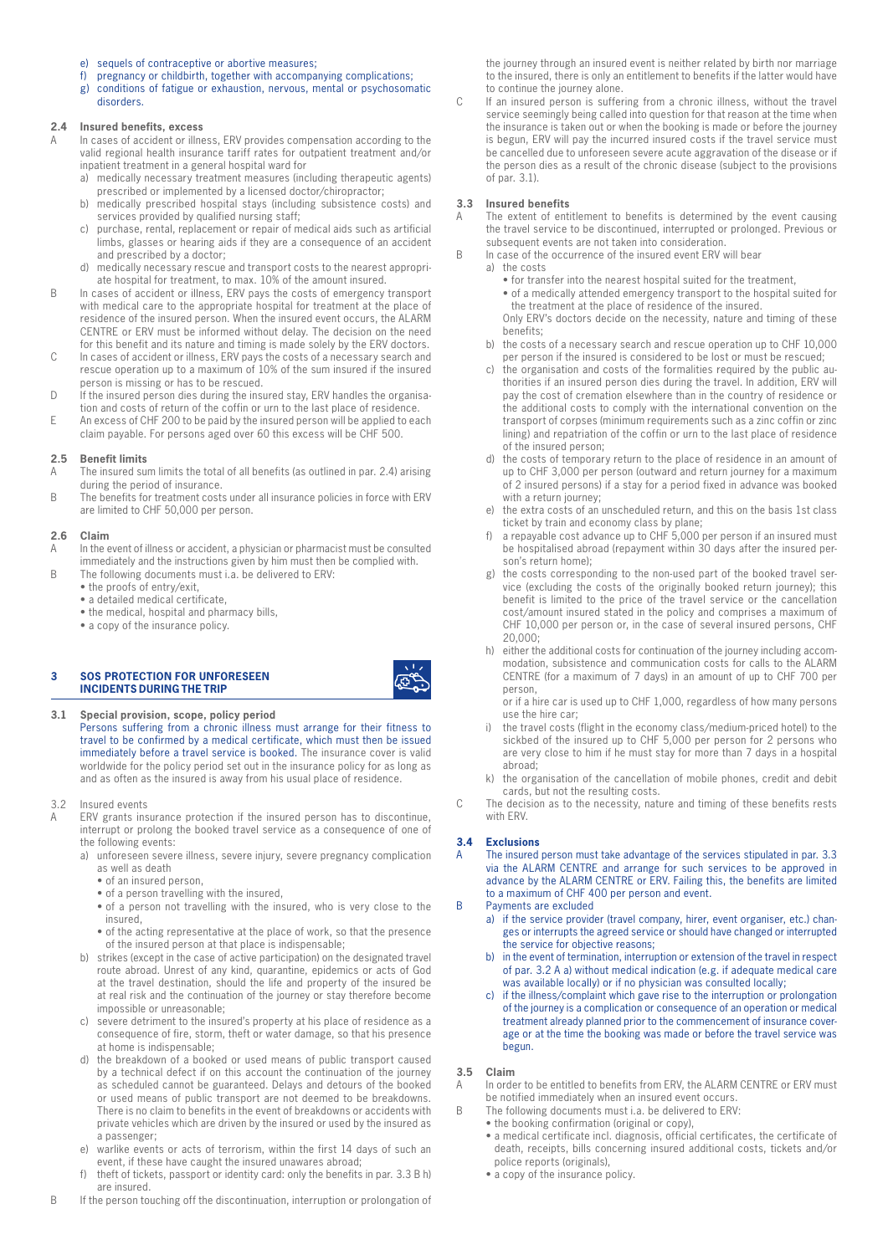- e) sequels of contraceptive or abortive measures;
- f) pregnancy or childbirth, together with accompanying complications;
- g) conditions of fatigue or exhaustion, nervous, mental or psychosomatic disorders.

# **2.4 Insured benefits, excess**

- In cases of accident or illness, ERV provides compensation according to the valid regional health insurance tariff rates for outpatient treatment and/or inpatient treatment in a general hospital ward for
	- a) medically necessary treatment measures (including therapeutic agents) prescribed or implemented by a licensed doctor/chiropractor;
	- b) medically prescribed hospital stays (including subsistence costs) and services provided by qualified nursing staff;
	- c) purchase, rental, replacement or repair of medical aids such as artificial limbs, glasses or hearing aids if they are a consequence of an accident and prescribed by a doctor;
	- d) medically necessary rescue and transport costs to the nearest appropriate hospital for treatment, to max. 10% of the amount insured.
- B In cases of accident or illness, ERV pays the costs of emergency transport with medical care to the appropriate hospital for treatment at the place of residence of the insured person. When the insured event occurs, the ALARM CENTRE or ERV must be informed without delay. The decision on the need for this benefit and its nature and timing is made solely by the ERV doctors.
- C In cases of accident or illness, ERV pays the costs of a necessary search and rescue operation up to a maximum of 10% of the sum insured if the insured person is missing or has to be rescued.
- D If the insured person dies during the insured stay, ERV handles the organisation and costs of return of the coffin or urn to the last place of residence.
- E An excess of CHF 200 to be paid by the insured person will be applied to each claim payable. For persons aged over 60 this excess will be CHF 500.

#### **2.5 Benefit limits**

- A The insured sum limits the total of all benefits (as outlined in par. 2.4) arising during the period of insurance.
- B The benefits for treatment costs under all insurance policies in force with ERV are limited to CHF 50,000 per person.

#### **2.6 Claim**

- A In the event of illness or accident, a physician or pharmacist must be consulted immediately and the instructions given by him must then be complied with.
- B The following documents must i.a. be delivered to ERV:
	- the proofs of entry/exit,
	- a detailed medical certificate,
	- the medical, hospital and pharmacy bills,
	- a copy of the insurance policy.

#### **3 SOS PROTECTION FOR UNFORESEEN INCIDENTS DURING THE TRIP**

- **3.1 Special provision, scope, policy period** Persons suffering from a chronic illness must arrange for their fitness to travel to be confirmed by a medical certificate, which must then be issued immediately before a travel service is booked. The insurance cover is valid worldwide for the policy period set out in the insurance policy for as long as and as often as the insured is away from his usual place of residence.
- 3.2 Insured events
- A ERV grants insurance protection if the insured person has to discontinue, interrupt or prolong the booked travel service as a consequence of one of the following events:
	- a) unforeseen severe illness, severe injury, severe pregnancy complication as well as death
		- of an insured person,
		- of a person travelling with the insured,
		- of a person not travelling with the insured, who is very close to the insured,
		- of the acting representative at the place of work, so that the presence of the insured person at that place is indispensable;
	- b) strikes (except in the case of active participation) on the designated travel route abroad. Unrest of any kind, quarantine, epidemics or acts of God at the travel destination, should the life and property of the insured be at real risk and the continuation of the journey or stay therefore become impossible or unreasonable;
	- c) severe detriment to the insured's property at his place of residence as a consequence of fire, storm, theft or water damage, so that his presence at home is indispensable;
	- d) the breakdown of a booked or used means of public transport caused by a technical defect if on this account the continuation of the journey as scheduled cannot be guaranteed. Delays and detours of the booked or used means of public transport are not deemed to be breakdowns. There is no claim to benefits in the event of breakdowns or accidents with private vehicles which are driven by the insured or used by the insured as a passenger;
	- e) warlike events or acts of terrorism, within the first 14 days of such an event, if these have caught the insured unawares abroad;
	- f) theft of tickets, passport or identity card: only the benefits in par. 3.3 B h) are insured.
- B If the person touching off the discontinuation, interruption or prolongation of

the journey through an insured event is neither related by birth nor marriage to the insured, there is only an entitlement to benefits if the latter would have to continue the journey alone.

C If an insured person is suffering from a chronic illness, without the travel service seemingly being called into question for that reason at the time when the insurance is taken out or when the booking is made or before the journey is begun, ERV will pay the incurred insured costs if the travel service must be cancelled due to unforeseen severe acute aggravation of the disease or if the person dies as a result of the chronic disease (subject to the provisions of par. 3.1).

# **3.3 Insured benefits**

- The extent of entitlement to benefits is determined by the event causing the travel service to be discontinued, interrupted or prolonged. Previous or subsequent events are not taken into consideration.
- B In case of the occurrence of the insured event ERV will bear
	- a) the costs
		- for transfer into the nearest hospital suited for the treatment,
		- of a medically attended emergency transport to the hospital suited for the treatment at the place of residence of the insured.

Only ERV's doctors decide on the necessity, nature and timing of these benefits;

- b) the costs of a necessary search and rescue operation up to CHF 10,000 per person if the insured is considered to be lost or must be rescued;
- c) the organisation and costs of the formalities required by the public authorities if an insured person dies during the travel. In addition, ERV will pay the cost of cremation elsewhere than in the country of residence or the additional costs to comply with the international convention on the transport of corpses (minimum requirements such as a zinc coffin or zinc lining) and repatriation of the coffin or urn to the last place of residence of the insured person;
- d) the costs of temporary return to the place of residence in an amount of up to CHF 3,000 per person (outward and return journey for a maximum of 2 insured persons) if a stay for a period fixed in advance was booked with a return journey;
- e) the extra costs of an unscheduled return, and this on the basis 1st class ticket by train and economy class by plane;
- f) a repayable cost advance up to CHF 5,000 per person if an insured must be hospitalised abroad (repayment within 30 days after the insured person's return home);
- g) the costs corresponding to the non-used part of the booked travel service (excluding the costs of the originally booked return journey); this benefit is limited to the price of the travel service or the cancellation cost/amount insured stated in the policy and comprises a maximum of CHF 10,000 per person or, in the case of several insured persons, CHF 20,000;
- h) either the additional costs for continuation of the journey including accommodation, subsistence and communication costs for calls to the ALARM CENTRE (for a maximum of 7 days) in an amount of up to CHF 700 per person,

or if a hire car is used up to CHF 1,000, regardless of how many persons use the hire car;

- i) the travel costs (flight in the economy class/medium-priced hotel) to the sickbed of the insured up to CHF 5,000 per person for 2 persons who are very close to him if he must stay for more than 7 days in a hospital abroad;
- k) the organisation of the cancellation of mobile phones, credit and debit cards, but not the resulting costs.
- C The decision as to the necessity, nature and timing of these benefits rests with ERV.

# **3.4 Exclusions**

A The insured person must take advantage of the services stipulated in par. 3.3 via the ALARM CENTRE and arrange for such services to be approved in advance by the ALARM CENTRE or ERV. Failing this, the benefits are limited to a maximum of CHF 400 per person and event.

# B Payments are excluded

- a) if the service provider (travel company, hirer, event organiser, etc.) changes or interrupts the agreed service or should have changed or interrupted the service for objective reasons;
- b) in the event of termination, interruption or extension of the travel in respect of par. 3.2 A a) without medical indication (e.g. if adequate medical care was available locally) or if no physician was consulted locally;
- c) if the illness/complaint which gave rise to the interruption or prolongation of the journey is a complication or consequence of an operation or medical treatment already planned prior to the commencement of insurance coverage or at the time the booking was made or before the travel service was begun.

# **3.5 Claim**

- A In order to be entitled to benefits from ERV, the ALARM CENTRE or ERV must be notified immediately when an insured event occurs.
- B The following documents must i.a. be delivered to ERV:
	- the booking confirmation (original or copy),
	- a medical certificate incl. diagnosis, official certificates, the certificate of death, receipts, bills concerning insured additional costs, tickets and/or police reports (originals),
	- a copy of the insurance policy.